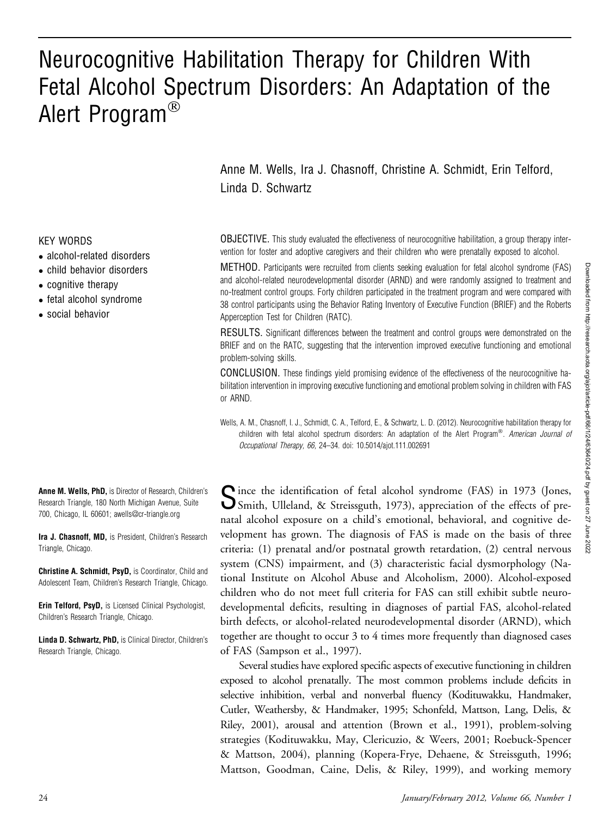# Neurocognitive Habilitation Therapy for Children With Fetal Alcohol Spectrum Disorders: An Adaptation of the Alert Program<sup>®</sup>

Anne M. Wells, Ira J. Chasnoff, Christine A. Schmidt, Erin Telford, Linda D. Schwartz

OBJECTIVE. This study evaluated the effectiveness of neurocognitive habilitation, a group therapy intervention for foster and adoptive caregivers and their children who were prenatally exposed to alcohol.

METHOD. Participants were recruited from clients seeking evaluation for fetal alcohol syndrome (FAS) and alcohol-related neurodevelopmental disorder (ARND) and were randomly assigned to treatment and no-treatment control groups. Forty children participated in the treatment program and were compared with 38 control participants using the Behavior Rating Inventory of Executive Function (BRIEF) and the Roberts Apperception Test for Children (RATC).

RESULTS. Significant differences between the treatment and control groups were demonstrated on the BRIEF and on the RATC, suggesting that the intervention improved executive functioning and emotional problem-solving skills.

CONCLUSION. These findings yield promising evidence of the effectiveness of the neurocognitive habilitation intervention in improving executive functioning and emotional problem solving in children with FAS or ARND.

Wells, A. M., Chasnoff, I. J., Schmidt, C. A., Telford, E., & Schwartz, L. D. (2012). Neurocognitive habilitation therapy for children with fetal alcohol spectrum disorders: An adaptation of the Alert Program®. American Journal of Occupational Therapy, 66, 24–34. doi: 10.5014/ajot.111.002691

Since the identification of fetal alcohol syndrome (FAS) in 1973 (Jones,<br>Smith, Ulleland, & Streissguth, 1973), appreciation of the effects of prenatal alcohol exposure on a child's emotional, behavioral, and cognitive development has grown. The diagnosis of FAS is made on the basis of three criteria: (1) prenatal and/or postnatal growth retardation, (2) central nervous system (CNS) impairment, and (3) characteristic facial dysmorphology (National Institute on Alcohol Abuse and Alcoholism, 2000). Alcohol-exposed children who do not meet full criteria for FAS can still exhibit subtle neurodevelopmental deficits, resulting in diagnoses of partial FAS, alcohol-related birth defects, or alcohol-related neurodevelopmental disorder (ARND), which together are thought to occur 3 to 4 times more frequently than diagnosed cases of FAS (Sampson et al., 1997).

Several studies have explored specific aspects of executive functioning in children exposed to alcohol prenatally. The most common problems include deficits in selective inhibition, verbal and nonverbal fluency (Kodituwakku, Handmaker, Cutler, Weathersby, & Handmaker, 1995; Schonfeld, Mattson, Lang, Delis, & Riley, 2001), arousal and attention (Brown et al., 1991), problem-solving strategies (Kodituwakku, May, Clericuzio, & Weers, 2001; Roebuck-Spencer & Mattson, 2004), planning (Kopera-Frye, Dehaene, & Streissguth, 1996; Mattson, Goodman, Caine, Delis, & Riley, 1999), and working memory

#### KEY WORDS

- alcohol-related disorders
- child behavior disorders
- cognitive therapy
- fetal alcohol syndrome
- social behavior

Anne M. Wells, PhD, is Director of Research, Children's Research Triangle, 180 North Michigan Avenue, Suite 700, Chicago, IL 60601; awells@cr-triangle.org

Ira J. Chasnoff, MD, is President, Children's Research Triangle, Chicago.

Christine A. Schmidt, PsyD, is Coordinator, Child and Adolescent Team, Children's Research Triangle, Chicago.

Erin Telford, PsyD, is Licensed Clinical Psychologist, Children's Research Triangle, Chicago.

Linda D. Schwartz, PhD, is Clinical Director, Children's Research Triangle, Chicago.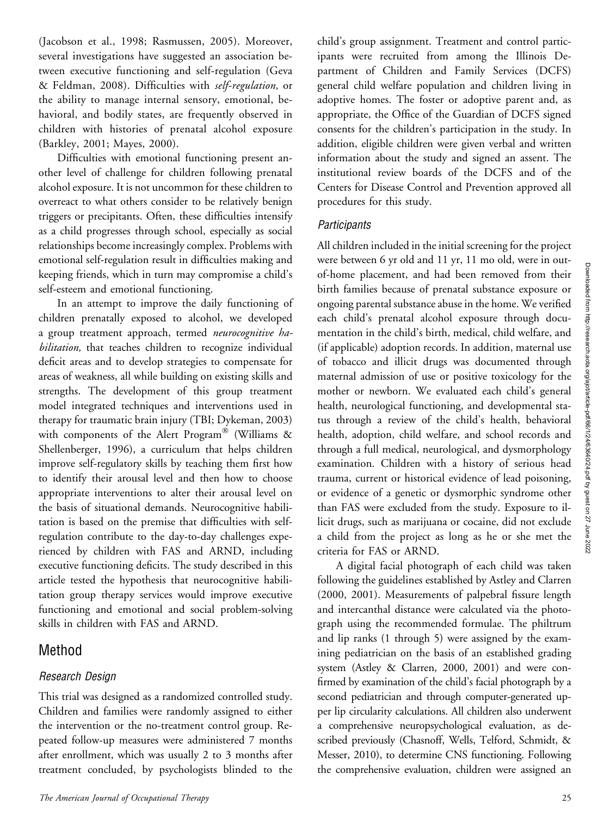(Jacobson et al., 1998; Rasmussen, 2005). Moreover, several investigations have suggested an association between executive functioning and self-regulation (Geva & Feldman, 2008). Difficulties with self-regulation, or the ability to manage internal sensory, emotional, behavioral, and bodily states, are frequently observed in children with histories of prenatal alcohol exposure (Barkley, 2001; Mayes, 2000).

Difficulties with emotional functioning present another level of challenge for children following prenatal alcohol exposure. It is not uncommon for these children to overreact to what others consider to be relatively benign triggers or precipitants. Often, these difficulties intensify as a child progresses through school, especially as social relationships become increasingly complex. Problems with emotional self-regulation result in difficulties making and keeping friends, which in turn may compromise a child's self-esteem and emotional functioning.

In an attempt to improve the daily functioning of children prenatally exposed to alcohol, we developed a group treatment approach, termed neurocognitive habilitation, that teaches children to recognize individual deficit areas and to develop strategies to compensate for areas of weakness, all while building on existing skills and strengths. The development of this group treatment model integrated techniques and interventions used in therapy for traumatic brain injury (TBI; Dykeman, 2003) with components of the Alert Program® (Williams & Shellenberger, 1996), a curriculum that helps children improve self-regulatory skills by teaching them first how to identify their arousal level and then how to choose appropriate interventions to alter their arousal level on the basis of situational demands. Neurocognitive habilitation is based on the premise that difficulties with selfregulation contribute to the day-to-day challenges experienced by children with FAS and ARND, including executive functioning deficits. The study described in this article tested the hypothesis that neurocognitive habilitation group therapy services would improve executive functioning and emotional and social problem-solving skills in children with FAS and ARND.

# Method

# Research Design

This trial was designed as a randomized controlled study. Children and families were randomly assigned to either the intervention or the no-treatment control group. Repeated follow-up measures were administered 7 months after enrollment, which was usually 2 to 3 months after treatment concluded, by psychologists blinded to the

child's group assignment. Treatment and control participants were recruited from among the Illinois Department of Children and Family Services (DCFS) general child welfare population and children living in adoptive homes. The foster or adoptive parent and, as appropriate, the Office of the Guardian of DCFS signed consents for the children's participation in the study. In addition, eligible children were given verbal and written information about the study and signed an assent. The institutional review boards of the DCFS and of the Centers for Disease Control and Prevention approved all procedures for this study.

### **Participants**

All children included in the initial screening for the project were between 6 yr old and 11 yr, 11 mo old, were in outof-home placement, and had been removed from their birth families because of prenatal substance exposure or ongoing parental substance abuse in the home. We verified each child's prenatal alcohol exposure through documentation in the child's birth, medical, child welfare, and (if applicable) adoption records. In addition, maternal use of tobacco and illicit drugs was documented through maternal admission of use or positive toxicology for the mother or newborn. We evaluated each child's general health, neurological functioning, and developmental status through a review of the child's health, behavioral health, adoption, child welfare, and school records and through a full medical, neurological, and dysmorphology examination. Children with a history of serious head trauma, current or historical evidence of lead poisoning, or evidence of a genetic or dysmorphic syndrome other than FAS were excluded from the study. Exposure to illicit drugs, such as marijuana or cocaine, did not exclude a child from the project as long as he or she met the criteria for FAS or ARND.

A digital facial photograph of each child was taken following the guidelines established by Astley and Clarren (2000, 2001). Measurements of palpebral fissure length and intercanthal distance were calculated via the photograph using the recommended formulae. The philtrum and lip ranks (1 through 5) were assigned by the examining pediatrician on the basis of an established grading system (Astley & Clarren, 2000, 2001) and were confirmed by examination of the child's facial photograph by a second pediatrician and through computer-generated upper lip circularity calculations. All children also underwent a comprehensive neuropsychological evaluation, as described previously (Chasnoff, Wells, Telford, Schmidt, & Messer, 2010), to determine CNS functioning. Following the comprehensive evaluation, children were assigned an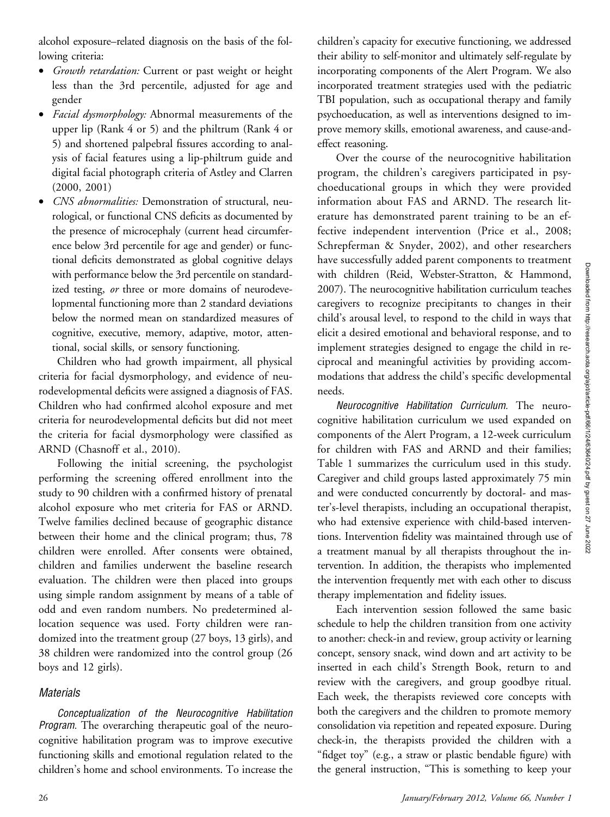alcohol exposure–related diagnosis on the basis of the following criteria:

- Growth retardation: Current or past weight or height less than the 3rd percentile, adjusted for age and gender
- Facial dysmorphology: Abnormal measurements of the upper lip (Rank 4 or 5) and the philtrum (Rank 4 or 5) and shortened palpebral fissures according to analysis of facial features using a lip-philtrum guide and digital facial photograph criteria of Astley and Clarren (2000, 2001)
- *CNS abnormalities:* Demonstration of structural, neurological, or functional CNS deficits as documented by the presence of microcephaly (current head circumference below 3rd percentile for age and gender) or functional deficits demonstrated as global cognitive delays with performance below the 3rd percentile on standardized testing, or three or more domains of neurodevelopmental functioning more than 2 standard deviations below the normed mean on standardized measures of cognitive, executive, memory, adaptive, motor, attentional, social skills, or sensory functioning.

Children who had growth impairment, all physical criteria for facial dysmorphology, and evidence of neurodevelopmental deficits were assigned a diagnosis of FAS. Children who had confirmed alcohol exposure and met criteria for neurodevelopmental deficits but did not meet the criteria for facial dysmorphology were classified as ARND (Chasnoff et al., 2010).

Following the initial screening, the psychologist performing the screening offered enrollment into the study to 90 children with a confirmed history of prenatal alcohol exposure who met criteria for FAS or ARND. Twelve families declined because of geographic distance between their home and the clinical program; thus, 78 children were enrolled. After consents were obtained, children and families underwent the baseline research evaluation. The children were then placed into groups using simple random assignment by means of a table of odd and even random numbers. No predetermined allocation sequence was used. Forty children were randomized into the treatment group (27 boys, 13 girls), and 38 children were randomized into the control group (26 boys and 12 girls).

#### **Materials**

Conceptualization of the Neurocognitive Habilitation Program. The overarching therapeutic goal of the neurocognitive habilitation program was to improve executive functioning skills and emotional regulation related to the children's home and school environments. To increase the children's capacity for executive functioning, we addressed their ability to self-monitor and ultimately self-regulate by incorporating components of the Alert Program. We also incorporated treatment strategies used with the pediatric TBI population, such as occupational therapy and family psychoeducation, as well as interventions designed to improve memory skills, emotional awareness, and cause-andeffect reasoning.

Over the course of the neurocognitive habilitation program, the children's caregivers participated in psychoeducational groups in which they were provided information about FAS and ARND. The research literature has demonstrated parent training to be an effective independent intervention (Price et al., 2008; Schrepferman & Snyder, 2002), and other researchers have successfully added parent components to treatment with children (Reid, Webster-Stratton, & Hammond, 2007). The neurocognitive habilitation curriculum teaches caregivers to recognize precipitants to changes in their child's arousal level, to respond to the child in ways that elicit a desired emotional and behavioral response, and to implement strategies designed to engage the child in reciprocal and meaningful activities by providing accommodations that address the child's specific developmental needs.

Neurocognitive Habilitation Curriculum. The neurocognitive habilitation curriculum we used expanded on components of the Alert Program, a 12-week curriculum for children with FAS and ARND and their families; Table 1 summarizes the curriculum used in this study. Caregiver and child groups lasted approximately 75 min and were conducted concurrently by doctoral- and master's-level therapists, including an occupational therapist, who had extensive experience with child-based interventions. Intervention fidelity was maintained through use of a treatment manual by all therapists throughout the intervention. In addition, the therapists who implemented the intervention frequently met with each other to discuss therapy implementation and fidelity issues.

Each intervention session followed the same basic schedule to help the children transition from one activity to another: check-in and review, group activity or learning concept, sensory snack, wind down and art activity to be inserted in each child's Strength Book, return to and review with the caregivers, and group goodbye ritual. Each week, the therapists reviewed core concepts with both the caregivers and the children to promote memory consolidation via repetition and repeated exposure. During check-in, the therapists provided the children with a "fidget toy" (e.g., a straw or plastic bendable figure) with the general instruction, "This is something to keep your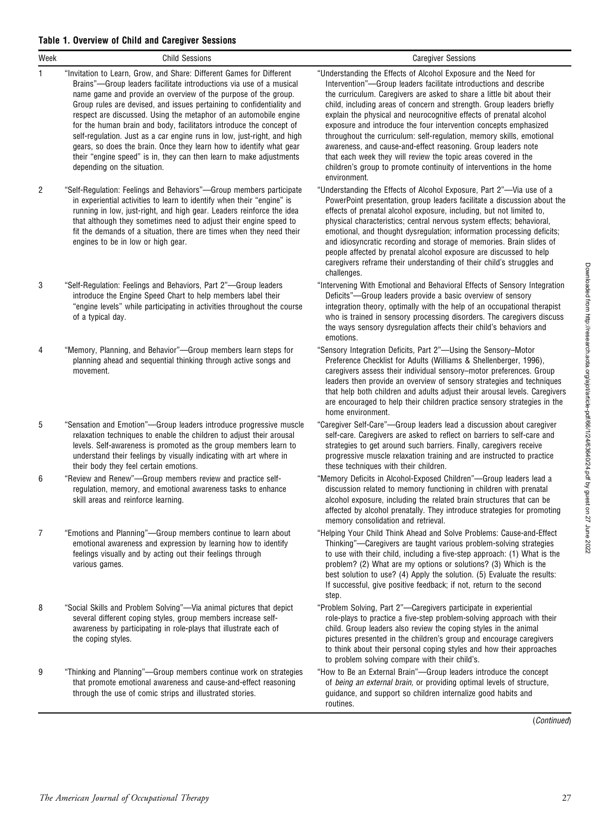| Week | <b>Child Sessions</b>                                                                                                                                                                                                                                                                                                                                                                                                                                                                                                                                                                                                                                                                      | <b>Caregiver Sessions</b>                                                                                                                                                                                                                                                                                                                                                                                                                                                                                                                                                                                                                                                                                                            |
|------|--------------------------------------------------------------------------------------------------------------------------------------------------------------------------------------------------------------------------------------------------------------------------------------------------------------------------------------------------------------------------------------------------------------------------------------------------------------------------------------------------------------------------------------------------------------------------------------------------------------------------------------------------------------------------------------------|--------------------------------------------------------------------------------------------------------------------------------------------------------------------------------------------------------------------------------------------------------------------------------------------------------------------------------------------------------------------------------------------------------------------------------------------------------------------------------------------------------------------------------------------------------------------------------------------------------------------------------------------------------------------------------------------------------------------------------------|
| 1    | "Invitation to Learn, Grow, and Share: Different Games for Different<br>Brains"—Group leaders facilitate introductions via use of a musical<br>name game and provide an overview of the purpose of the group.<br>Group rules are devised, and issues pertaining to confidentiality and<br>respect are discussed. Using the metaphor of an automobile engine<br>for the human brain and body, facilitators introduce the concept of<br>self-regulation. Just as a car engine runs in low, just-right, and high<br>gears, so does the brain. Once they learn how to identify what gear<br>their "engine speed" is in, they can then learn to make adjustments<br>depending on the situation. | "Understanding the Effects of Alcohol Exposure and the Need for<br>Intervention"-Group leaders facilitate introductions and describe<br>the curriculum. Caregivers are asked to share a little bit about their<br>child, including areas of concern and strength. Group leaders briefly<br>explain the physical and neurocognitive effects of prenatal alcohol<br>exposure and introduce the four intervention concepts emphasized<br>throughout the curriculum: self-regulation, memory skills, emotional<br>awareness, and cause-and-effect reasoning. Group leaders note<br>that each week they will review the topic areas covered in the<br>children's group to promote continuity of interventions in the home<br>environment. |
| 2    | "Self-Regulation: Feelings and Behaviors"-Group members participate<br>in experiential activities to learn to identify when their "engine" is<br>running in low, just-right, and high gear. Leaders reinforce the idea<br>that although they sometimes need to adjust their engine speed to<br>fit the demands of a situation, there are times when they need their<br>engines to be in low or high gear.                                                                                                                                                                                                                                                                                  | "Understanding the Effects of Alcohol Exposure, Part 2"-Via use of a<br>PowerPoint presentation, group leaders facilitate a discussion about the<br>effects of prenatal alcohol exposure, including, but not limited to,<br>physical characteristics; central nervous system effects; behavioral,<br>emotional, and thought dysregulation; information processing deficits;<br>and idiosyncratic recording and storage of memories. Brain slides of<br>people affected by prenatal alcohol exposure are discussed to help<br>caregivers reframe their understanding of their child's struggles and<br>challenges.                                                                                                                    |
| 3    | "Self-Regulation: Feelings and Behaviors, Part 2"-Group leaders<br>introduce the Engine Speed Chart to help members label their<br>"engine levels" while participating in activities throughout the course<br>of a typical day.                                                                                                                                                                                                                                                                                                                                                                                                                                                            | "Intervening With Emotional and Behavioral Effects of Sensory Integration<br>Deficits"—Group leaders provide a basic overview of sensory<br>integration theory, optimally with the help of an occupational therapist<br>who is trained in sensory processing disorders. The caregivers discuss<br>the ways sensory dysregulation affects their child's behaviors and<br>emotions.                                                                                                                                                                                                                                                                                                                                                    |
| 4    | "Memory, Planning, and Behavior"—Group members learn steps for<br>planning ahead and sequential thinking through active songs and<br>movement.                                                                                                                                                                                                                                                                                                                                                                                                                                                                                                                                             | "Sensory Integration Deficits, Part 2"-Using the Sensory-Motor<br>Preference Checklist for Adults (Williams & Shellenberger, 1996),<br>caregivers assess their individual sensory-motor preferences. Group<br>leaders then provide an overview of sensory strategies and techniques<br>that help both children and adults adjust their arousal levels. Caregivers<br>are encouraged to help their children practice sensory strategies in the<br>home environment.                                                                                                                                                                                                                                                                   |
| 5    | "Sensation and Emotion"—Group leaders introduce progressive muscle<br>relaxation techniques to enable the children to adjust their arousal<br>levels. Self-awareness is promoted as the group members learn to<br>understand their feelings by visually indicating with art where in<br>their body they feel certain emotions.                                                                                                                                                                                                                                                                                                                                                             | "Caregiver Self-Care"—Group leaders lead a discussion about caregiver<br>self-care. Caregivers are asked to reflect on barriers to self-care and<br>strategies to get around such barriers. Finally, caregivers receive<br>progressive muscle relaxation training and are instructed to practice<br>these techniques with their children.                                                                                                                                                                                                                                                                                                                                                                                            |
| 6    | "Review and Renew"-Group members review and practice self-<br>regulation, memory, and emotional awareness tasks to enhance<br>skill areas and reinforce learning.                                                                                                                                                                                                                                                                                                                                                                                                                                                                                                                          | "Memory Deficits in Alcohol-Exposed Children"-Group leaders lead a<br>discussion related to memory functioning in children with prenatal<br>alcohol exposure, including the related brain structures that can be<br>affected by alcohol prenatally. They introduce strategies for promoting<br>memory consolidation and retrieval.                                                                                                                                                                                                                                                                                                                                                                                                   |
| 7    | "Emotions and Planning"—Group members continue to learn about<br>emotional awareness and expression by learning how to identify<br>feelings visually and by acting out their feelings through<br>various games.                                                                                                                                                                                                                                                                                                                                                                                                                                                                            | "Helping Your Child Think Ahead and Solve Problems: Cause-and-Effect<br>Thinking"—Caregivers are taught various problem-solving strategies<br>to use with their child, including a five-step approach: (1) What is the<br>problem? (2) What are my options or solutions? (3) Which is the<br>best solution to use? (4) Apply the solution. (5) Evaluate the results:<br>If successful, give positive feedback; if not, return to the second<br>step.                                                                                                                                                                                                                                                                                 |
| 8    | "Social Skills and Problem Solving"—Via animal pictures that depict<br>several different coping styles, group members increase self-<br>awareness by participating in role-plays that illustrate each of<br>the coping styles.                                                                                                                                                                                                                                                                                                                                                                                                                                                             | "Problem Solving, Part 2"-Caregivers participate in experiential<br>role-plays to practice a five-step problem-solving approach with their<br>child. Group leaders also review the coping styles in the animal<br>pictures presented in the children's group and encourage caregivers<br>to think about their personal coping styles and how their approaches<br>to problem solving compare with their child's.                                                                                                                                                                                                                                                                                                                      |
| 9    | "Thinking and Planning"-Group members continue work on strategies<br>that promote emotional awareness and cause-and-effect reasoning<br>through the use of comic strips and illustrated stories.                                                                                                                                                                                                                                                                                                                                                                                                                                                                                           | "How to Be an External Brain"-Group leaders introduce the concept<br>of being an external brain, or providing optimal levels of structure,<br>guidance, and support so children internalize good habits and<br>routines.                                                                                                                                                                                                                                                                                                                                                                                                                                                                                                             |

Downloaded from http://research.aota.org/ajot/article-pdff66/1/24/63640/24.pdf by guest on 27 June 2022 Downloaded from http://research.aota.org/ajot/article-pdf/66/1/24/63640/24.pdf by guest on 27 June 2022

(Continued)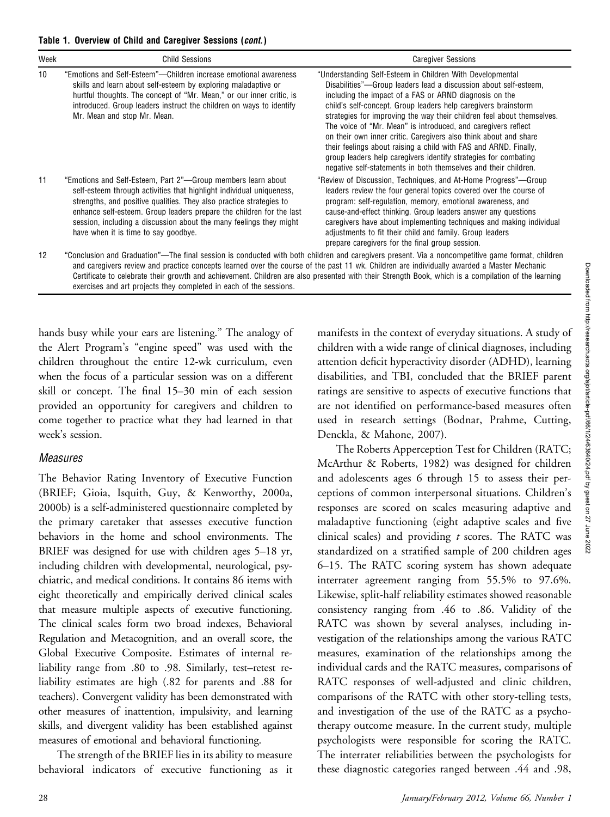| Week | <b>Child Sessions</b>                                                                                                                                                                                                                                                                                                                                                                             | <b>Caregiver Sessions</b>                                                                                                                                                                                                                                                                                                                                                                                                                                                                                                                                                                                                                                                          |
|------|---------------------------------------------------------------------------------------------------------------------------------------------------------------------------------------------------------------------------------------------------------------------------------------------------------------------------------------------------------------------------------------------------|------------------------------------------------------------------------------------------------------------------------------------------------------------------------------------------------------------------------------------------------------------------------------------------------------------------------------------------------------------------------------------------------------------------------------------------------------------------------------------------------------------------------------------------------------------------------------------------------------------------------------------------------------------------------------------|
| 10   | "Emotions and Self-Esteem"—Children increase emotional awareness<br>skills and learn about self-esteem by exploring maladaptive or<br>hurtful thoughts. The concept of "Mr. Mean," or our inner critic, is<br>introduced. Group leaders instruct the children on ways to identify<br>Mr. Mean and stop Mr. Mean.                                                                                  | "Understanding Self-Esteem in Children With Developmental<br>Disabilities"—Group leaders lead a discussion about self-esteem,<br>including the impact of a FAS or ARND diagnosis on the<br>child's self-concept. Group leaders help caregivers brainstorm<br>strategies for improving the way their children feel about themselves.<br>The voice of "Mr. Mean" is introduced, and caregivers reflect<br>on their own inner critic. Caregivers also think about and share<br>their feelings about raising a child with FAS and ARND. Finally,<br>group leaders help caregivers identify strategies for combating<br>negative self-statements in both themselves and their children. |
| 11   | "Emotions and Self-Esteem, Part 2"—Group members learn about<br>self-esteem through activities that highlight individual uniqueness,<br>strengths, and positive qualities. They also practice strategies to<br>enhance self-esteem. Group leaders prepare the children for the last<br>session, including a discussion about the many feelings they might<br>have when it is time to say goodbye. | "Review of Discussion, Techniques, and At-Home Progress"—Group<br>leaders review the four general topics covered over the course of<br>program: self-regulation, memory, emotional awareness, and<br>cause-and-effect thinking. Group leaders answer any questions<br>caregivers have about implementing techniques and making individual<br>adjustments to fit their child and family. Group leaders<br>prepare caregivers for the final group session.                                                                                                                                                                                                                           |
| 12   |                                                                                                                                                                                                                                                                                                                                                                                                   | "Conclusion and Graduation"—The final session is conducted with both children and caregivers present. Via a noncompetitive game format, children<br>and caregivers review and practice concepts learned over the course of the past 11 wk. Children are individually awarded a Master Mechanic                                                                                                                                                                                                                                                                                                                                                                                     |

and caregivers review and practice concepts learned over the course of the past 11 wk. Children are individually awarded a Master Mechanic Certificate to celebrate their growth and achievement. Children are also presented with their Strength Book, which is a compilation of the learning exercises and art projects they completed in each of the sessions.

hands busy while your ears are listening." The analogy of the Alert Program's "engine speed" was used with the children throughout the entire 12-wk curriculum, even when the focus of a particular session was on a different skill or concept. The final 15–30 min of each session provided an opportunity for caregivers and children to come together to practice what they had learned in that week's session.

### **Measures**

The Behavior Rating Inventory of Executive Function (BRIEF; Gioia, Isquith, Guy, & Kenworthy, 2000a, 2000b) is a self-administered questionnaire completed by the primary caretaker that assesses executive function behaviors in the home and school environments. The BRIEF was designed for use with children ages 5–18 yr, including children with developmental, neurological, psychiatric, and medical conditions. It contains 86 items with eight theoretically and empirically derived clinical scales that measure multiple aspects of executive functioning. The clinical scales form two broad indexes, Behavioral Regulation and Metacognition, and an overall score, the Global Executive Composite. Estimates of internal reliability range from .80 to .98. Similarly, test–retest reliability estimates are high (.82 for parents and .88 for teachers). Convergent validity has been demonstrated with other measures of inattention, impulsivity, and learning skills, and divergent validity has been established against measures of emotional and behavioral functioning.

The strength of the BRIEF lies in its ability to measure behavioral indicators of executive functioning as it manifests in the context of everyday situations. A study of children with a wide range of clinical diagnoses, including attention deficit hyperactivity disorder (ADHD), learning disabilities, and TBI, concluded that the BRIEF parent ratings are sensitive to aspects of executive functions that are not identified on performance-based measures often used in research settings (Bodnar, Prahme, Cutting, Denckla, & Mahone, 2007).

The Roberts Apperception Test for Children (RATC; McArthur & Roberts, 1982) was designed for children and adolescents ages 6 through 15 to assess their perceptions of common interpersonal situations. Children's responses are scored on scales measuring adaptive and maladaptive functioning (eight adaptive scales and five clinical scales) and providing  $t$  scores. The RATC was standardized on a stratified sample of 200 children ages 6–15. The RATC scoring system has shown adequate interrater agreement ranging from 55.5% to 97.6%. Likewise, split-half reliability estimates showed reasonable consistency ranging from .46 to .86. Validity of the RATC was shown by several analyses, including investigation of the relationships among the various RATC measures, examination of the relationships among the individual cards and the RATC measures, comparisons of RATC responses of well-adjusted and clinic children, comparisons of the RATC with other story-telling tests, and investigation of the use of the RATC as a psychotherapy outcome measure. In the current study, multiple psychologists were responsible for scoring the RATC. The interrater reliabilities between the psychologists for these diagnostic categories ranged between .44 and .98,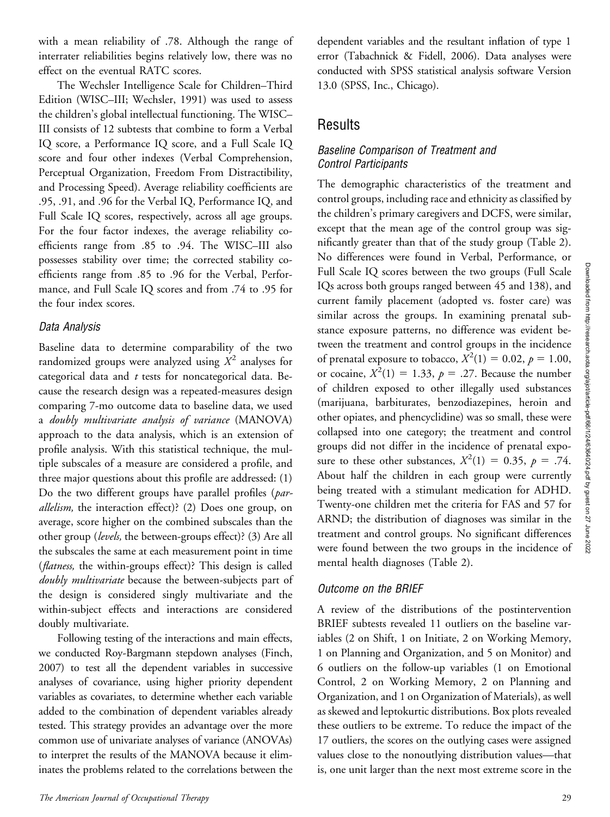with a mean reliability of .78. Although the range of interrater reliabilities begins relatively low, there was no effect on the eventual RATC scores.

The Wechsler Intelligence Scale for Children–Third Edition (WISC–III; Wechsler, 1991) was used to assess the children's global intellectual functioning. The WISC– III consists of 12 subtests that combine to form a Verbal IQ score, a Performance IQ score, and a Full Scale IQ score and four other indexes (Verbal Comprehension, Perceptual Organization, Freedom From Distractibility, and Processing Speed). Average reliability coefficients are .95, .91, and .96 for the Verbal IQ, Performance IQ, and Full Scale IQ scores, respectively, across all age groups. For the four factor indexes, the average reliability coefficients range from .85 to .94. The WISC–III also possesses stability over time; the corrected stability coefficients range from .85 to .96 for the Verbal, Performance, and Full Scale IQ scores and from .74 to .95 for the four index scores.

### Data Analysis

Baseline data to determine comparability of the two randomized groups were analyzed using  $X^2$  analyses for categorical data and  $t$  tests for noncategorical data. Because the research design was a repeated-measures design comparing 7-mo outcome data to baseline data, we used a doubly multivariate analysis of variance (MANOVA) approach to the data analysis, which is an extension of profile analysis. With this statistical technique, the multiple subscales of a measure are considered a profile, and three major questions about this profile are addressed: (1) Do the two different groups have parallel profiles (parallelism, the interaction effect)? (2) Does one group, on average, score higher on the combined subscales than the other group (levels, the between-groups effect)? (3) Are all the subscales the same at each measurement point in time (*flatness*, the within-groups effect)? This design is called doubly multivariate because the between-subjects part of the design is considered singly multivariate and the within-subject effects and interactions are considered doubly multivariate.

Following testing of the interactions and main effects, we conducted Roy-Bargmann stepdown analyses (Finch, 2007) to test all the dependent variables in successive analyses of covariance, using higher priority dependent variables as covariates, to determine whether each variable added to the combination of dependent variables already tested. This strategy provides an advantage over the more common use of univariate analyses of variance (ANOVAs) to interpret the results of the MANOVA because it eliminates the problems related to the correlations between the dependent variables and the resultant inflation of type 1 error (Tabachnick & Fidell, 2006). Data analyses were conducted with SPSS statistical analysis software Version 13.0 (SPSS, Inc., Chicago).

# **Results**

### Baseline Comparison of Treatment and Control Participants

The demographic characteristics of the treatment and control groups, including race and ethnicity as classified by the children's primary caregivers and DCFS, were similar, except that the mean age of the control group was significantly greater than that of the study group (Table 2). No differences were found in Verbal, Performance, or Full Scale IQ scores between the two groups (Full Scale IQs across both groups ranged between 45 and 138), and current family placement (adopted vs. foster care) was similar across the groups. In examining prenatal substance exposure patterns, no difference was evident between the treatment and control groups in the incidence of prenatal exposure to tobacco,  $X^2(1) = 0.02$ ,  $p = 1.00$ , or cocaine,  $X^2(1) = 1.33$ ,  $p = .27$ . Because the number of children exposed to other illegally used substances (marijuana, barbiturates, benzodiazepines, heroin and other opiates, and phencyclidine) was so small, these were collapsed into one category; the treatment and control groups did not differ in the incidence of prenatal exposure to these other substances,  $X^2(1) = 0.35$ ,  $p = .74$ . About half the children in each group were currently being treated with a stimulant medication for ADHD. Twenty-one children met the criteria for FAS and 57 for ARND; the distribution of diagnoses was similar in the treatment and control groups. No significant differences were found between the two groups in the incidence of mental health diagnoses (Table 2).

# Outcome on the BRIEF

A review of the distributions of the postintervention BRIEF subtests revealed 11 outliers on the baseline variables (2 on Shift, 1 on Initiate, 2 on Working Memory, 1 on Planning and Organization, and 5 on Monitor) and 6 outliers on the follow-up variables (1 on Emotional Control, 2 on Working Memory, 2 on Planning and Organization, and 1 on Organization of Materials), as well as skewed and leptokurtic distributions. Box plots revealed these outliers to be extreme. To reduce the impact of the 17 outliers, the scores on the outlying cases were assigned values close to the nonoutlying distribution values—that is, one unit larger than the next most extreme score in the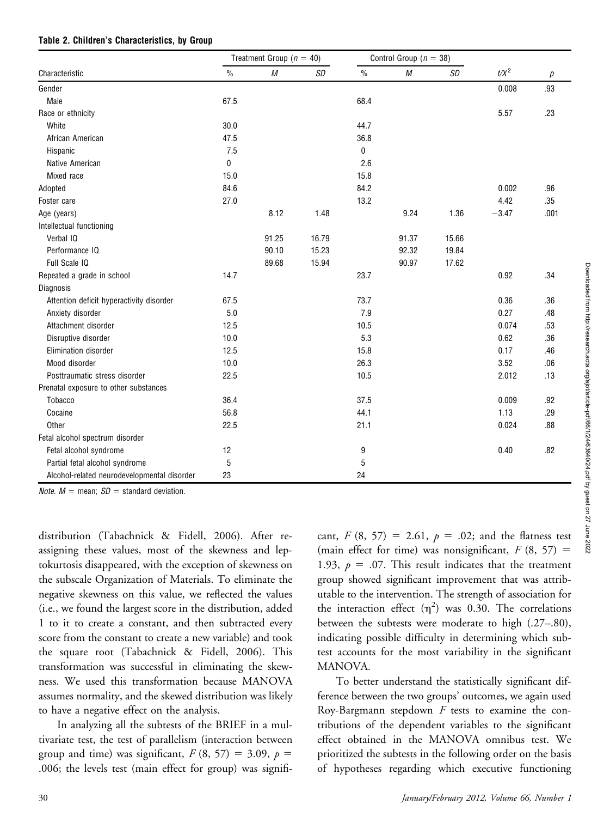|  |  |  | Table 2. Children's Characteristics, by Group |  |  |
|--|--|--|-----------------------------------------------|--|--|
|--|--|--|-----------------------------------------------|--|--|

|                                             | Treatment Group ( $n = 40$ ) |          |           | Control Group ( $n = 38$ ) |       |           |         |      |
|---------------------------------------------|------------------------------|----------|-----------|----------------------------|-------|-----------|---------|------|
| Characteristic                              | $\frac{0}{0}$                | $\cal M$ | <b>SD</b> | $\frac{0}{0}$              | M     | <b>SD</b> | $t/X^2$ | р    |
| Gender                                      |                              |          |           |                            |       |           | 0.008   | .93  |
| Male                                        | 67.5                         |          |           | 68.4                       |       |           |         |      |
| Race or ethnicity                           |                              |          |           |                            |       |           | 5.57    | .23  |
| White                                       | 30.0                         |          |           | 44.7                       |       |           |         |      |
| African American                            | 47.5                         |          |           | 36.8                       |       |           |         |      |
| Hispanic                                    | 7.5                          |          |           | $\mathbf 0$                |       |           |         |      |
| Native American                             | 0                            |          |           | 2.6                        |       |           |         |      |
| Mixed race                                  | 15.0                         |          |           | 15.8                       |       |           |         |      |
| Adopted                                     | 84.6                         |          |           | 84.2                       |       |           | 0.002   | .96  |
| Foster care                                 | 27.0                         |          |           | 13.2                       |       |           | 4.42    | .35  |
| Age (years)                                 |                              | 8.12     | 1.48      |                            | 9.24  | 1.36      | $-3.47$ | .001 |
| Intellectual functioning                    |                              |          |           |                            |       |           |         |      |
| Verbal IQ                                   |                              | 91.25    | 16.79     |                            | 91.37 | 15.66     |         |      |
| Performance IQ                              |                              | 90.10    | 15.23     |                            | 92.32 | 19.84     |         |      |
| Full Scale IQ                               |                              | 89.68    | 15.94     |                            | 90.97 | 17.62     |         |      |
| Repeated a grade in school                  | 14.7                         |          |           | 23.7                       |       |           | 0.92    | .34  |
| Diagnosis                                   |                              |          |           |                            |       |           |         |      |
| Attention deficit hyperactivity disorder    | 67.5                         |          |           | 73.7                       |       |           | 0.36    | .36  |
| Anxiety disorder                            | 5.0                          |          |           | 7.9                        |       |           | 0.27    | .48  |
| Attachment disorder                         | 12.5                         |          |           | 10.5                       |       |           | 0.074   | .53  |
| Disruptive disorder                         | 10.0                         |          |           | 5.3                        |       |           | 0.62    | .36  |
| Elimination disorder                        | 12.5                         |          |           | 15.8                       |       |           | 0.17    | .46  |
| Mood disorder                               | 10.0                         |          |           | 26.3                       |       |           | 3.52    | .06  |
| Posttraumatic stress disorder               | 22.5                         |          |           | 10.5                       |       |           | 2.012   | .13  |
| Prenatal exposure to other substances       |                              |          |           |                            |       |           |         |      |
| Tobacco                                     | 36.4                         |          |           | 37.5                       |       |           | 0.009   | .92  |
| Cocaine                                     | 56.8                         |          |           | 44.1                       |       |           | 1.13    | .29  |
| Other                                       | 22.5                         |          |           | 21.1                       |       |           | 0.024   | .88  |
| Fetal alcohol spectrum disorder             |                              |          |           |                            |       |           |         |      |
| Fetal alcohol syndrome                      | 12                           |          |           | 9                          |       |           | 0.40    | .82  |
| Partial fetal alcohol syndrome              | 5                            |          |           | 5                          |       |           |         |      |
| Alcohol-related neurodevelopmental disorder | 23                           |          |           | 24                         |       |           |         |      |

*Note.*  $M =$  mean:  $SD =$  standard deviation.

distribution (Tabachnick & Fidell, 2006). After reassigning these values, most of the skewness and leptokurtosis disappeared, with the exception of skewness on the subscale Organization of Materials. To eliminate the negative skewness on this value, we reflected the values (i.e., we found the largest score in the distribution, added 1 to it to create a constant, and then subtracted every score from the constant to create a new variable) and took the square root (Tabachnick & Fidell, 2006). This transformation was successful in eliminating the skewness. We used this transformation because MANOVA assumes normality, and the skewed distribution was likely to have a negative effect on the analysis.

In analyzing all the subtests of the BRIEF in a multivariate test, the test of parallelism (interaction between group and time) was significant,  $F(8, 57) = 3.09$ ,  $p =$ .006; the levels test (main effect for group) was significant,  $F(8, 57) = 2.61$ ,  $p = .02$ ; and the flatness test (main effect for time) was nonsignificant,  $F(8, 57) =$ 1.93,  $p = .07$ . This result indicates that the treatment group showed significant improvement that was attributable to the intervention. The strength of association for the interaction effect  $(\eta^2)$  was 0.30. The correlations between the subtests were moderate to high (.27–.80), indicating possible difficulty in determining which subtest accounts for the most variability in the significant MANOVA.

To better understand the statistically significant difference between the two groups' outcomes, we again used Roy-Bargmann stepdown  $F$  tests to examine the contributions of the dependent variables to the significant effect obtained in the MANOVA omnibus test. We prioritized the subtests in the following order on the basis of hypotheses regarding which executive functioning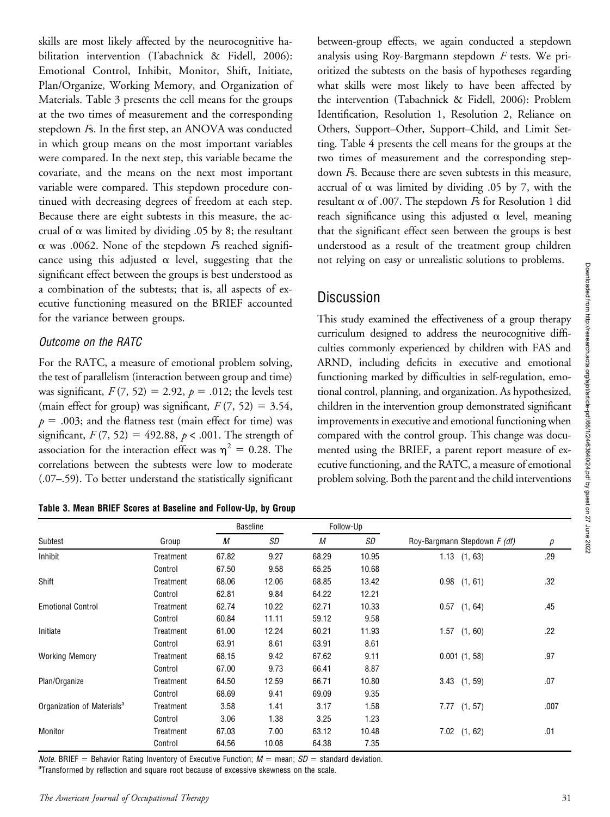skills are most likely affected by the neurocognitive habilitation intervention (Tabachnick & Fidell, 2006): Emotional Control, Inhibit, Monitor, Shift, Initiate, Plan/Organize, Working Memory, and Organization of Materials. Table 3 presents the cell means for the groups at the two times of measurement and the corresponding stepdown Fs. In the first step, an ANOVA was conducted in which group means on the most important variables were compared. In the next step, this variable became the covariate, and the means on the next most important variable were compared. This stepdown procedure continued with decreasing degrees of freedom at each step. Because there are eight subtests in this measure, the accrual of  $\alpha$  was limited by dividing .05 by 8; the resultant  $\alpha$  was .0062. None of the stepdown  $F<sub>s</sub>$  reached significance using this adjusted  $\alpha$  level, suggesting that the significant effect between the groups is best understood as a combination of the subtests; that is, all aspects of executive functioning measured on the BRIEF accounted for the variance between groups.

#### Outcome on the RATC

For the RATC, a measure of emotional problem solving, the test of parallelism (interaction between group and time) was significant,  $F(7, 52) = 2.92$ ,  $p = .012$ ; the levels test (main effect for group) was significant,  $F(7, 52) = 3.54$ ,  $p = .003$ ; and the flatness test (main effect for time) was significant,  $F(7, 52) = 492.88$ ,  $p < .001$ . The strength of association for the interaction effect was  $\eta^2 = 0.28$ . The correlations between the subtests were low to moderate (.07–.59). To better understand the statistically significant

Table 3. Mean BRIEF Scores at Baseline and Follow-Up, by Group

between-group effects, we again conducted a stepdown analysis using Roy-Bargmann stepdown F tests. We prioritized the subtests on the basis of hypotheses regarding what skills were most likely to have been affected by the intervention (Tabachnick & Fidell, 2006): Problem Identification, Resolution 1, Resolution 2, Reliance on Others, Support–Other, Support–Child, and Limit Setting. Table 4 presents the cell means for the groups at the two times of measurement and the corresponding stepdown Fs. Because there are seven subtests in this measure, accrual of  $\alpha$  was limited by dividing .05 by 7, with the resultant  $\alpha$  of .007. The stepdown *Fs* for Resolution 1 did reach significance using this adjusted  $\alpha$  level, meaning that the significant effect seen between the groups is best understood as a result of the treatment group children not relying on easy or unrealistic solutions to problems.

# **Discussion**

This study examined the effectiveness of a group therapy curriculum designed to address the neurocognitive difficulties commonly experienced by children with FAS and ARND, including deficits in executive and emotional functioning marked by difficulties in self-regulation, emotional control, planning, and organization. As hypothesized, children in the intervention group demonstrated significant improvements in executive and emotional functioning when compared with the control group. This change was documented using the BRIEF, a parent report measure of executive functioning, and the RATC, a measure of emotional problem solving. Both the parent and the child interventions

|                                        | Group     | <b>Baseline</b> |       | Follow-Up |       |                              |      |
|----------------------------------------|-----------|-----------------|-------|-----------|-------|------------------------------|------|
| Subtest                                |           | М               | SD    | М         | SD    | Roy-Bargmann Stepdown F (df) | р    |
| Inhibit                                | Treatment | 67.82           | 9.27  | 68.29     | 10.95 | 1.13<br>(1, 63)              | .29  |
|                                        | Control   | 67.50           | 9.58  | 65.25     | 10.68 |                              |      |
| Shift                                  | Treatment | 68.06           | 12.06 | 68.85     | 13.42 | 0.98<br>(1, 61)              | .32  |
|                                        | Control   | 62.81           | 9.84  | 64.22     | 12.21 |                              |      |
| <b>Emotional Control</b>               | Treatment | 62.74           | 10.22 | 62.71     | 10.33 | 0.57<br>(1, 64)              | .45  |
|                                        | Control   | 60.84           | 11.11 | 59.12     | 9.58  |                              |      |
| Initiate                               | Treatment | 61.00           | 12.24 | 60.21     | 11.93 | 1.57<br>(1, 60)              | .22  |
|                                        | Control   | 63.91           | 8.61  | 63.91     | 8.61  |                              |      |
| <b>Working Memory</b>                  | Treatment | 68.15           | 9.42  | 67.62     | 9.11  | 0.001(1, 58)                 | .97  |
|                                        | Control   | 67.00           | 9.73  | 66.41     | 8.87  |                              |      |
| Plan/Organize                          | Treatment | 64.50           | 12.59 | 66.71     | 10.80 | $3.43$ $(1, 59)$             | .07  |
|                                        | Control   | 68.69           | 9.41  | 69.09     | 9.35  |                              |      |
| Organization of Materials <sup>a</sup> | Treatment | 3.58            | 1.41  | 3.17      | 1.58  | 7.77<br>(1, 57)              | .007 |
|                                        | Control   | 3.06            | 1.38  | 3.25      | 1.23  |                              |      |
| Monitor                                | Treatment | 67.03           | 7.00  | 63.12     | 10.48 | 7.02<br>(1, 62)              | .01  |
|                                        | Control   | 64.56           | 10.08 | 64.38     | 7.35  |                              |      |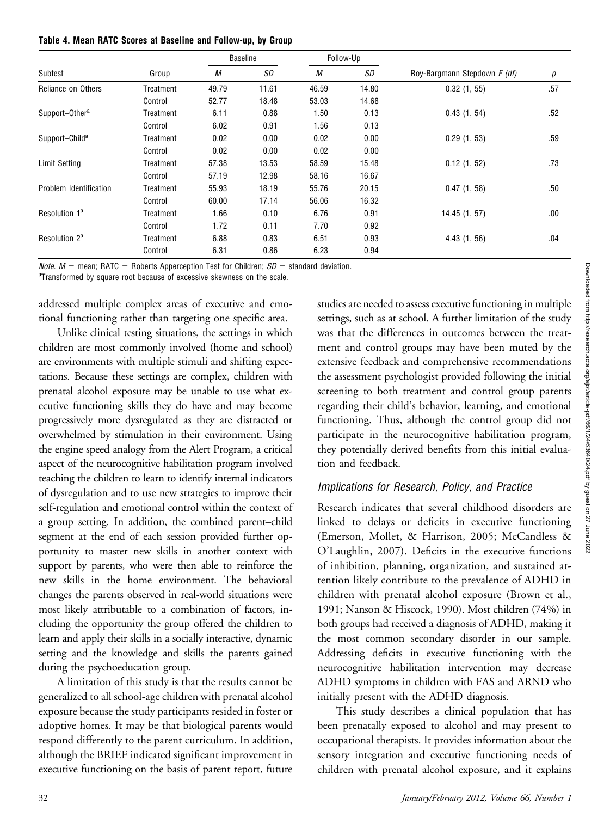| Table 4. Mean RATC Scores at Baseline and Follow-up, by Group |
|---------------------------------------------------------------|
|---------------------------------------------------------------|

|                            | Group     | <b>Baseline</b> |           | Follow-Up |       |                              |     |
|----------------------------|-----------|-----------------|-----------|-----------|-------|------------------------------|-----|
| Subtest                    |           | М               | <b>SD</b> | М         | SD    | Roy-Bargmann Stepdown F (df) | р   |
| Reliance on Others         | Treatment | 49.79           | 11.61     | 46.59     | 14.80 | 0.32(1, 55)                  | .57 |
|                            | Control   | 52.77           | 18.48     | 53.03     | 14.68 |                              |     |
| Support-Other <sup>a</sup> | Treatment | 6.11            | 0.88      | 1.50      | 0.13  | 0.43(1, 54)                  | .52 |
|                            | Control   | 6.02            | 0.91      | 1.56      | 0.13  |                              |     |
| Support-Child <sup>a</sup> | Treatment | 0.02            | 0.00      | 0.02      | 0.00  | 0.29(1, 53)                  | .59 |
|                            | Control   | 0.02            | 0.00      | 0.02      | 0.00  |                              |     |
| Limit Setting              | Treatment | 57.38           | 13.53     | 58.59     | 15.48 | 0.12(1, 52)                  | .73 |
|                            | Control   | 57.19           | 12.98     | 58.16     | 16.67 |                              |     |
| Problem Identification     | Treatment | 55.93           | 18.19     | 55.76     | 20.15 | 0.47(1, 58)                  | .50 |
|                            | Control   | 60.00           | 17.14     | 56.06     | 16.32 |                              |     |
| Resolution 1 <sup>a</sup>  | Treatment | 1.66            | 0.10      | 6.76      | 0.91  | 14.45 (1, 57)                | .00 |
|                            | Control   | 1.72            | 0.11      | 7.70      | 0.92  |                              |     |
| Resolution 2 <sup>a</sup>  | Treatment | 6.88            | 0.83      | 6.51      | 0.93  | 4.43(1, 56)                  | .04 |
|                            | Control   | 6.31            | 0.86      | 6.23      | 0.94  |                              |     |

*Note.*  $M =$  mean; RATC = Roberts Apperception Test for Children;  $SD =$  standard deviation.

<sup>a</sup>Transformed by square root because of excessive skewness on the scale.

addressed multiple complex areas of executive and emotional functioning rather than targeting one specific area.

Unlike clinical testing situations, the settings in which children are most commonly involved (home and school) are environments with multiple stimuli and shifting expectations. Because these settings are complex, children with prenatal alcohol exposure may be unable to use what executive functioning skills they do have and may become progressively more dysregulated as they are distracted or overwhelmed by stimulation in their environment. Using the engine speed analogy from the Alert Program, a critical aspect of the neurocognitive habilitation program involved teaching the children to learn to identify internal indicators of dysregulation and to use new strategies to improve their self-regulation and emotional control within the context of a group setting. In addition, the combined parent–child segment at the end of each session provided further opportunity to master new skills in another context with support by parents, who were then able to reinforce the new skills in the home environment. The behavioral changes the parents observed in real-world situations were most likely attributable to a combination of factors, including the opportunity the group offered the children to learn and apply their skills in a socially interactive, dynamic setting and the knowledge and skills the parents gained during the psychoeducation group.

A limitation of this study is that the results cannot be generalized to all school-age children with prenatal alcohol exposure because the study participants resided in foster or adoptive homes. It may be that biological parents would respond differently to the parent curriculum. In addition, although the BRIEF indicated significant improvement in executive functioning on the basis of parent report, future

studies are needed to assess executive functioning in multiple settings, such as at school. A further limitation of the study was that the differences in outcomes between the treatment and control groups may have been muted by the extensive feedback and comprehensive recommendations the assessment psychologist provided following the initial screening to both treatment and control group parents regarding their child's behavior, learning, and emotional functioning. Thus, although the control group did not participate in the neurocognitive habilitation program, they potentially derived benefits from this initial evaluation and feedback.

### Implications for Research, Policy, and Practice

Research indicates that several childhood disorders are linked to delays or deficits in executive functioning (Emerson, Mollet, & Harrison, 2005; McCandless & O'Laughlin, 2007). Deficits in the executive functions of inhibition, planning, organization, and sustained attention likely contribute to the prevalence of ADHD in children with prenatal alcohol exposure (Brown et al., 1991; Nanson & Hiscock, 1990). Most children (74%) in both groups had received a diagnosis of ADHD, making it the most common secondary disorder in our sample. Addressing deficits in executive functioning with the neurocognitive habilitation intervention may decrease ADHD symptoms in children with FAS and ARND who initially present with the ADHD diagnosis.

This study describes a clinical population that has been prenatally exposed to alcohol and may present to occupational therapists. It provides information about the sensory integration and executive functioning needs of children with prenatal alcohol exposure, and it explains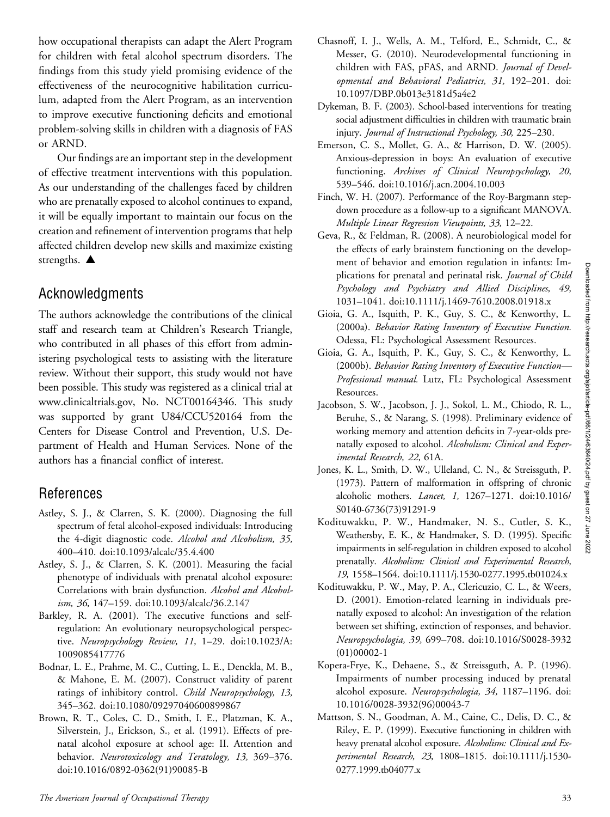how occupational therapists can adapt the Alert Program for children with fetal alcohol spectrum disorders. The findings from this study yield promising evidence of the effectiveness of the neurocognitive habilitation curriculum, adapted from the Alert Program, as an intervention to improve executive functioning deficits and emotional problem-solving skills in children with a diagnosis of FAS or ARND.

Our findings are an important step in the development of effective treatment interventions with this population. As our understanding of the challenges faced by children who are prenatally exposed to alcohol continues to expand, it will be equally important to maintain our focus on the creation and refinement of intervention programs that help affected children develop new skills and maximize existing strengths.  $\triangle$ 

# Acknowledgments

The authors acknowledge the contributions of the clinical staff and research team at Children's Research Triangle, who contributed in all phases of this effort from administering psychological tests to assisting with the literature review. Without their support, this study would not have been possible. This study was registered as a clinical trial at www.clinicaltrials.gov, No. NCT00164346. This study was supported by grant U84/CCU520164 from the Centers for Disease Control and Prevention, U.S. Department of Health and Human Services. None of the authors has a financial conflict of interest.

# References

- Astley, S. J., & Clarren, S. K. (2000). Diagnosing the full spectrum of fetal alcohol-exposed individuals: Introducing the 4-digit diagnostic code. Alcohol and Alcoholism, 35, 400–410. doi:10.1093/alcalc/35.4.400
- Astley, S. J., & Clarren, S. K. (2001). Measuring the facial phenotype of individuals with prenatal alcohol exposure: Correlations with brain dysfunction. Alcohol and Alcoholism, 36, 147–159. doi:10.1093/alcalc/36.2.147
- Barkley, R. A. (2001). The executive functions and selfregulation: An evolutionary neuropsychological perspective. Neuropsychology Review, 11, 1-29. doi:10.1023/A: 1009085417776
- Bodnar, L. E., Prahme, M. C., Cutting, L. E., Denckla, M. B., & Mahone, E. M. (2007). Construct validity of parent ratings of inhibitory control. Child Neuropsychology, 13, 345–362. doi:10.1080/09297040600899867
- Brown, R. T., Coles, C. D., Smith, I. E., Platzman, K. A., Silverstein, J., Erickson, S., et al. (1991). Effects of prenatal alcohol exposure at school age: II. Attention and behavior. Neurotoxicology and Teratology, 13, 369-376. doi:10.1016/0892-0362(91)90085-B
- Chasnoff, I. J., Wells, A. M., Telford, E., Schmidt, C., & Messer, G. (2010). Neurodevelopmental functioning in children with FAS, pFAS, and ARND. Journal of Developmental and Behavioral Pediatrics, 31, 192–201. doi: 10.1097/DBP.0b013e3181d5a4e2
- Dykeman, B. F. (2003). School-based interventions for treating social adjustment difficulties in children with traumatic brain injury. Journal of Instructional Psychology, 30, 225–230.
- Emerson, C. S., Mollet, G. A., & Harrison, D. W. (2005). Anxious-depression in boys: An evaluation of executive functioning. Archives of Clinical Neuropsychology, 20, 539–546. doi:10.1016/j.acn.2004.10.003
- Finch, W. H. (2007). Performance of the Roy-Bargmann stepdown procedure as a follow-up to a significant MANOVA. Multiple Linear Regression Viewpoints, 33, 12–22.
- Geva, R., & Feldman, R. (2008). A neurobiological model for the effects of early brainstem functioning on the development of behavior and emotion regulation in infants: Implications for prenatal and perinatal risk. Journal of Child Psychology and Psychiatry and Allied Disciplines, 49, 1031–1041. doi:10.1111/j.1469-7610.2008.01918.x
- Gioia, G. A., Isquith, P. K., Guy, S. C., & Kenworthy, L. (2000a). Behavior Rating Inventory of Executive Function. Odessa, FL: Psychological Assessment Resources.
- Gioia, G. A., Isquith, P. K., Guy, S. C., & Kenworthy, L. (2000b). Behavior Rating Inventory of Executive Function— Professional manual. Lutz, FL: Psychological Assessment Resources.
- Jacobson, S. W., Jacobson, J. J., Sokol, L. M., Chiodo, R. L., Beruhe, S., & Narang, S. (1998). Preliminary evidence of working memory and attention deficits in 7-year-olds prenatally exposed to alcohol. Alcoholism: Clinical and Experimental Research, 22, 61A.
- Jones, K. L., Smith, D. W., Ulleland, C. N., & Streissguth, P. (1973). Pattern of malformation in offspring of chronic alcoholic mothers. Lancet, 1, 1267–1271. doi:10.1016/ S0140-6736(73)91291-9
- Kodituwakku, P. W., Handmaker, N. S., Cutler, S. K., Weathersby, E. K., & Handmaker, S. D. (1995). Specific impairments in self-regulation in children exposed to alcohol prenatally. Alcoholism: Clinical and Experimental Research, 19, 1558–1564. doi:10.1111/j.1530-0277.1995.tb01024.x
- Kodituwakku, P. W., May, P. A., Clericuzio, C. L., & Weers, D. (2001). Emotion-related learning in individuals prenatally exposed to alcohol: An investigation of the relation between set shifting, extinction of responses, and behavior. Neuropsychologia, 39, 699–708. doi:10.1016/S0028-3932 (01)00002-1
- Kopera-Frye, K., Dehaene, S., & Streissguth, A. P. (1996). Impairments of number processing induced by prenatal alcohol exposure. Neuropsychologia, 34, 1187–1196. doi: 10.1016/0028-3932(96)00043-7
- Mattson, S. N., Goodman, A. M., Caine, C., Delis, D. C., & Riley, E. P. (1999). Executive functioning in children with heavy prenatal alcohol exposure. Alcoholism: Clinical and Experimental Research, 23, 1808–1815. doi:10.1111/j.1530- 0277.1999.tb04077.x